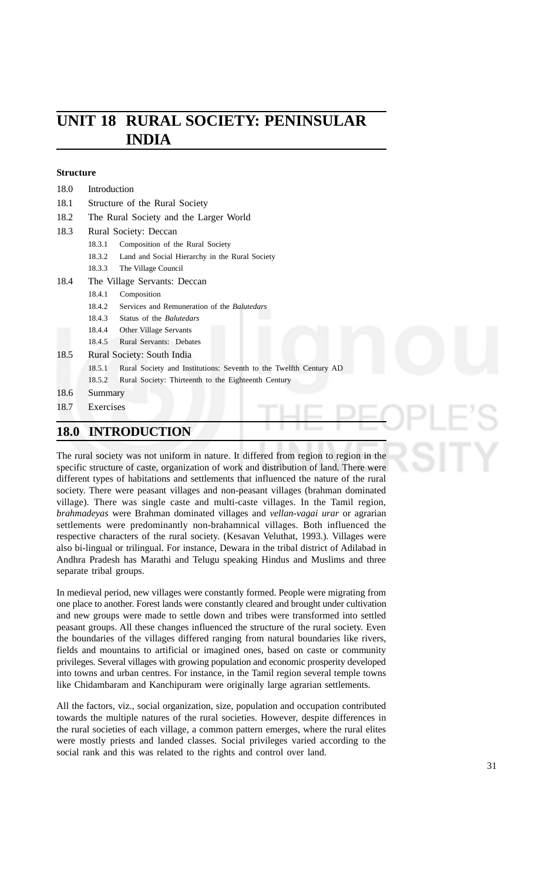# **UNIT 18 RURAL SOCIETY: PENINSULAR INDIA**

#### **Structure**

| <b>18.0</b> | <b>INTRODUCTION</b>                                                         |
|-------------|-----------------------------------------------------------------------------|
| 18.7        | Exercises                                                                   |
| 18.6        | Summary                                                                     |
|             | Rural Society: Thirteenth to the Eighteenth Century<br>18.5.2               |
|             | Rural Society and Institutions: Seventh to the Twelfth Century AD<br>18.5.1 |
| 18.5        | Rural Society: South India                                                  |
|             | 18.4.5<br><b>Rural Servants: Debates</b>                                    |
|             | 18.4.4<br>Other Village Servants                                            |
|             | 18.4.3<br>Status of the <i>Balutedars</i>                                   |
|             | 18.4.2<br>Services and Remuneration of the Balutedars                       |
|             | 18.4.1<br>Composition                                                       |
| 18.4        | The Village Servants: Deccan                                                |
|             | The Village Council<br>18.3.3                                               |
|             | Land and Social Hierarchy in the Rural Society<br>18.3.2                    |
|             | Composition of the Rural Society<br>18.3.1                                  |
| 18.3        | Rural Society: Deccan                                                       |
| 18.2        | The Rural Society and the Larger World                                      |
| 18.1        | Structure of the Rural Society                                              |
| 18.0        | Introduction                                                                |

The rural society was not uniform in nature. It differed from region to region in the specific structure of caste, organization of work and distribution of land. There were different types of habitations and settlements that influenced the nature of the rural society. There were peasant villages and non-peasant villages (brahman dominated village). There was single caste and multi-caste villages. In the Tamil region, *brahmadeyas* were Brahman dominated villages and *vellan-vagai urar* or agrarian settlements were predominantly non-brahamnical villages. Both influenced the respective characters of the rural society. (Kesavan Veluthat, 1993.). Villages were also bi-lingual or trilingual. For instance, Dewara in the tribal district of Adilabad in Andhra Pradesh has Marathi and Telugu speaking Hindus and Muslims and three separate tribal groups.

In medieval period, new villages were constantly formed. People were migrating from one place to another. Forest lands were constantly cleared and brought under cultivation and new groups were made to settle down and tribes were transformed into settled peasant groups. All these changes influenced the structure of the rural society. Even the boundaries of the villages differed ranging from natural boundaries like rivers, fields and mountains to artificial or imagined ones, based on caste or community privileges. Several villages with growing population and economic prosperity developed into towns and urban centres. For instance, in the Tamil region several temple towns like Chidambaram and Kanchipuram were originally large agrarian settlements.

All the factors, viz., social organization, size, population and occupation contributed towards the multiple natures of the rural societies. However, despite differences in the rural societies of each village, a common pattern emerges, where the rural elites were mostly priests and landed classes. Social privileges varied according to the social rank and this was related to the rights and control over land.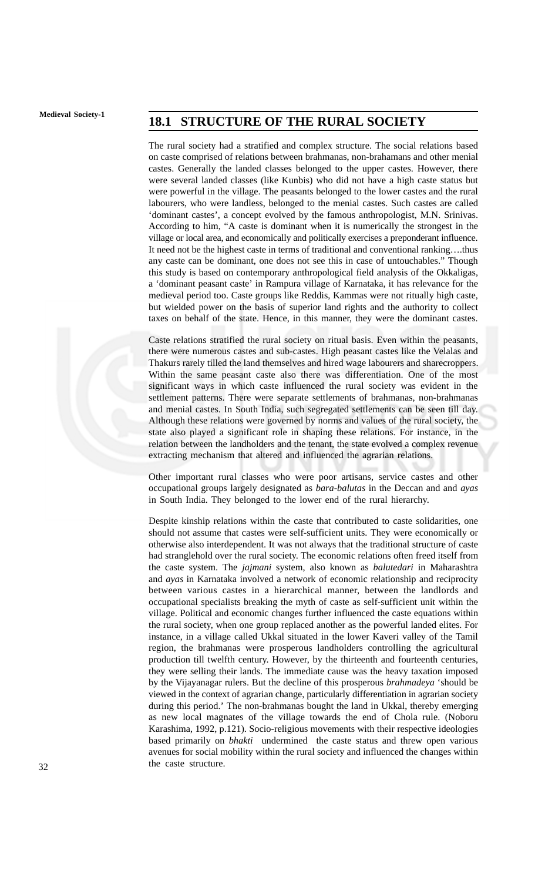# **Medieval Society-1 18.1 STRUCTURE OF THE RURAL SOCIETY**

The rural society had a stratified and complex structure. The social relations based on caste comprised of relations between brahmanas, non-brahamans and other menial castes. Generally the landed classes belonged to the upper castes. However, there were several landed classes (like Kunbis) who did not have a high caste status but were powerful in the village. The peasants belonged to the lower castes and the rural labourers, who were landless, belonged to the menial castes. Such castes are called 'dominant castes', a concept evolved by the famous anthropologist, M.N. Srinivas. According to him, "A caste is dominant when it is numerically the strongest in the village or local area, and economically and politically exercises a preponderant influence. It need not be the highest caste in terms of traditional and conventional ranking….thus any caste can be dominant, one does not see this in case of untouchables." Though this study is based on contemporary anthropological field analysis of the Okkaligas, a 'dominant peasant caste' in Rampura village of Karnataka, it has relevance for the medieval period too. Caste groups like Reddis, Kammas were not ritually high caste, but wielded power on the basis of superior land rights and the authority to collect taxes on behalf of the state. Hence, in this manner, they were the dominant castes.

Caste relations stratified the rural society on ritual basis. Even within the peasants, there were numerous castes and sub-castes. High peasant castes like the Velalas and Thakurs rarely tilled the land themselves and hired wage labourers and sharecroppers. Within the same peasant caste also there was differentiation. One of the most significant ways in which caste influenced the rural society was evident in the settlement patterns. There were separate settlements of brahmanas, non-brahmanas and menial castes. In South India, such segregated settlements can be seen till day. Although these relations were governed by norms and values of the rural society, the state also played a significant role in shaping these relations. For instance, in the relation between the landholders and the tenant, the state evolved a complex revenue extracting mechanism that altered and influenced the agrarian relations.

Other important rural classes who were poor artisans, service castes and other occupational groups largely designated as *bara-balutas* in the Deccan and and *ayas* in South India. They belonged to the lower end of the rural hierarchy.

Despite kinship relations within the caste that contributed to caste solidarities, one should not assume that castes were self-sufficient units. They were economically or otherwise also interdependent. It was not always that the traditional structure of caste had stranglehold over the rural society. The economic relations often freed itself from the caste system. The *jajmani* system, also known as *balutedari* in Maharashtra and *ayas* in Karnataka involved a network of economic relationship and reciprocity between various castes in a hierarchical manner, between the landlords and occupational specialists breaking the myth of caste as self-sufficient unit within the village. Political and economic changes further influenced the caste equations within the rural society, when one group replaced another as the powerful landed elites. For instance, in a village called Ukkal situated in the lower Kaveri valley of the Tamil region, the brahmanas were prosperous landholders controlling the agricultural production till twelfth century. However, by the thirteenth and fourteenth centuries, they were selling their lands. The immediate cause was the heavy taxation imposed by the Vijayanagar rulers. But the decline of this prosperous *brahmadeya* 'should be viewed in the context of agrarian change, particularly differentiation in agrarian society during this period.' The non-brahmanas bought the land in Ukkal, thereby emerging as new local magnates of the village towards the end of Chola rule. (Noboru Karashima, 1992, p.121). Socio-religious movements with their respective ideologies based primarily on *bhakti* undermined the caste status and threw open various avenues for social mobility within the rural society and influenced the changes within the caste structure.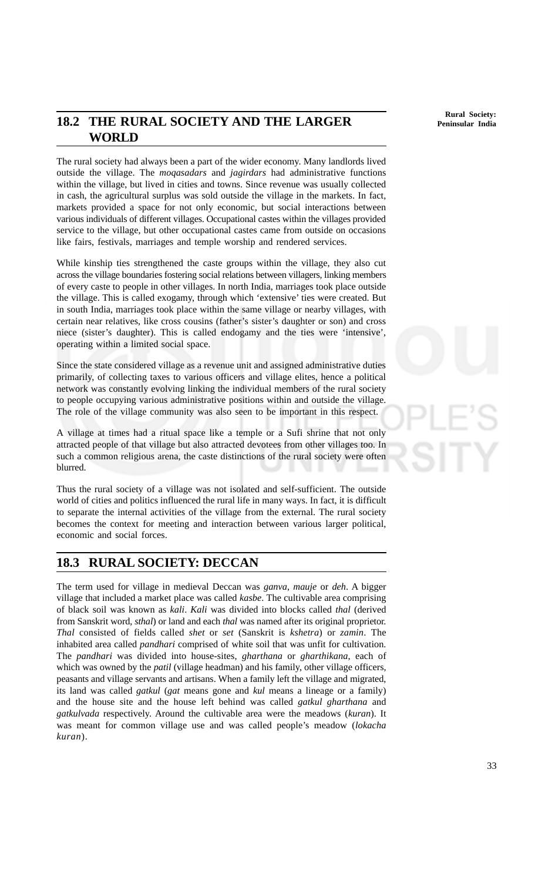**Rural Society: Peninsular India**

## **18.2 THE RURAL SOCIETY AND THE LARGER WORLD**

The rural society had always been a part of the wider economy. Many landlords lived outside the village. The *moqasadars* and *jagirdars* had administrative functions within the village, but lived in cities and towns. Since revenue was usually collected in cash, the agricultural surplus was sold outside the village in the markets. In fact, markets provided a space for not only economic, but social interactions between various individuals of different villages. Occupational castes within the villages provided service to the village, but other occupational castes came from outside on occasions like fairs, festivals, marriages and temple worship and rendered services.

While kinship ties strengthened the caste groups within the village, they also cut across the village boundaries fostering social relations between villagers, linking members of every caste to people in other villages. In north India, marriages took place outside the village. This is called exogamy, through which 'extensive' ties were created. But in south India, marriages took place within the same village or nearby villages, with certain near relatives, like cross cousins (father's sister's daughter or son) and cross niece (sister's daughter). This is called endogamy and the ties were 'intensive', operating within a limited social space.

Since the state considered village as a revenue unit and assigned administrative duties primarily, of collecting taxes to various officers and village elites, hence a political network was constantly evolving linking the individual members of the rural society to people occupying various administrative positions within and outside the village. The role of the village community was also seen to be important in this respect.

A village at times had a ritual space like a temple or a Sufi shrine that not only attracted people of that village but also attracted devotees from other villages too. In such a common religious arena, the caste distinctions of the rural society were often blurred.

Thus the rural society of a village was not isolated and self-sufficient. The outside world of cities and politics influenced the rural life in many ways. In fact, it is difficult to separate the internal activities of the village from the external. The rural society becomes the context for meeting and interaction between various larger political, economic and social forces.

## **18.3 RURAL SOCIETY: DECCAN**

The term used for village in medieval Deccan was *ganva*, *mauje* or *deh*. A bigger village that included a market place was called *kasbe*. The cultivable area comprising of black soil was known as *kali*. *Kali* was divided into blocks called *thal* (derived from Sanskrit word, *sthal*) or land and each *thal* was named after its original proprietor. *Thal* consisted of fields called *shet* or *set* (Sanskrit is *kshetra*) or *zamin*. The inhabited area called *pandhari* comprised of white soil that was unfit for cultivation. The *pandhari* was divided into house-sites, *gharthana* or *gharthikana*, each of which was owned by the *patil* (village headman) and his family, other village officers, peasants and village servants and artisans. When a family left the village and migrated, its land was called *gatkul* (*gat* means gone and *kul* means a lineage or a family) and the house site and the house left behind was called *gatkul gharthana* and *gatkulvada* respectively. Around the cultivable area were the meadows (*kuran*). It was meant for common village use and was called people's meadow (*lokacha kuran*).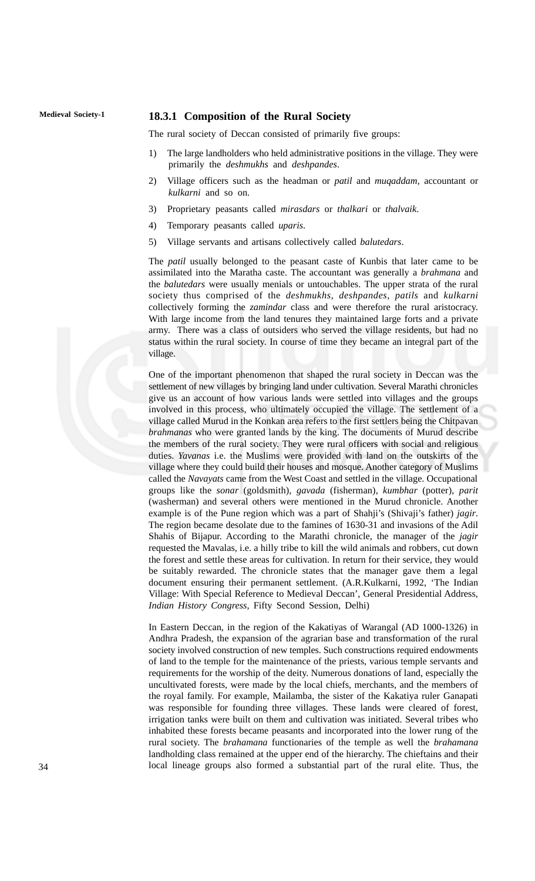#### **Medieval Society-1 18.3.1 Composition of the Rural Society**

The rural society of Deccan consisted of primarily five groups:

- 1) The large landholders who held administrative positions in the village. They were primarily the *deshmukhs* and *deshpandes*.
- 2) Village officers such as the headman or *patil* and *muqaddam*, accountant or *kulkarni* and so on.
- 3) Proprietary peasants called *mirasdars* or *thalkari* or *thalvaik*.
- 4) Temporary peasants called *uparis*.
- 5) Village servants and artisans collectively called *balutedars*.

The *patil* usually belonged to the peasant caste of Kunbis that later came to be assimilated into the Maratha caste. The accountant was generally a *brahmana* and the *balutedars* were usually menials or untouchables. The upper strata of the rural society thus comprised of the *deshmukhs*, *deshpandes*, *patils* and *kulkarni* collectively forming the *zamindar* class and were therefore the rural aristocracy. With large income from the land tenures they maintained large forts and a private army. There was a class of outsiders who served the village residents, but had no status within the rural society. In course of time they became an integral part of the village.

One of the important phenomenon that shaped the rural society in Deccan was the settlement of new villages by bringing land under cultivation. Several Marathi chronicles give us an account of how various lands were settled into villages and the groups involved in this process, who ultimately occupied the village. The settlement of a village called Murud in the Konkan area refers to the first settlers being the Chitpavan *brahmanas* who were granted lands by the king. The documents of Murud describe the members of the rural society. They were rural officers with social and religious duties. *Yavanas* i.e. the Muslims were provided with land on the outskirts of the village where they could build their houses and mosque. Another category of Muslims called the *Navayats* came from the West Coast and settled in the village. Occupational groups like the *sonar* (goldsmith), *gavada* (fisherman), *kumbhar* (potter), *parit* (washerman) and several others were mentioned in the Murud chronicle. Another example is of the Pune region which was a part of Shahji's (Shivaji's father) *jagir*. The region became desolate due to the famines of 1630-31 and invasions of the Adil Shahis of Bijapur. According to the Marathi chronicle, the manager of the *jagir* requested the Mavalas, i.e. a hilly tribe to kill the wild animals and robbers, cut down the forest and settle these areas for cultivation. In return for their service, they would be suitably rewarded. The chronicle states that the manager gave them a legal document ensuring their permanent settlement. (A.R.Kulkarni, 1992, 'The Indian Village: With Special Reference to Medieval Deccan', General Presidential Address, *Indian History Congress*, Fifty Second Session, Delhi)

In Eastern Deccan, in the region of the Kakatiyas of Warangal (AD 1000-1326) in Andhra Pradesh, the expansion of the agrarian base and transformation of the rural society involved construction of new temples. Such constructions required endowments of land to the temple for the maintenance of the priests, various temple servants and requirements for the worship of the deity. Numerous donations of land, especially the uncultivated forests, were made by the local chiefs, merchants, and the members of the royal family. For example, Mailamba, the sister of the Kakatiya ruler Ganapati was responsible for founding three villages. These lands were cleared of forest, irrigation tanks were built on them and cultivation was initiated. Several tribes who inhabited these forests became peasants and incorporated into the lower rung of the rural society. The *brahamana* functionaries of the temple as well the *brahamana* landholding class remained at the upper end of the hierarchy. The chieftains and their local lineage groups also formed a substantial part of the rural elite. Thus, the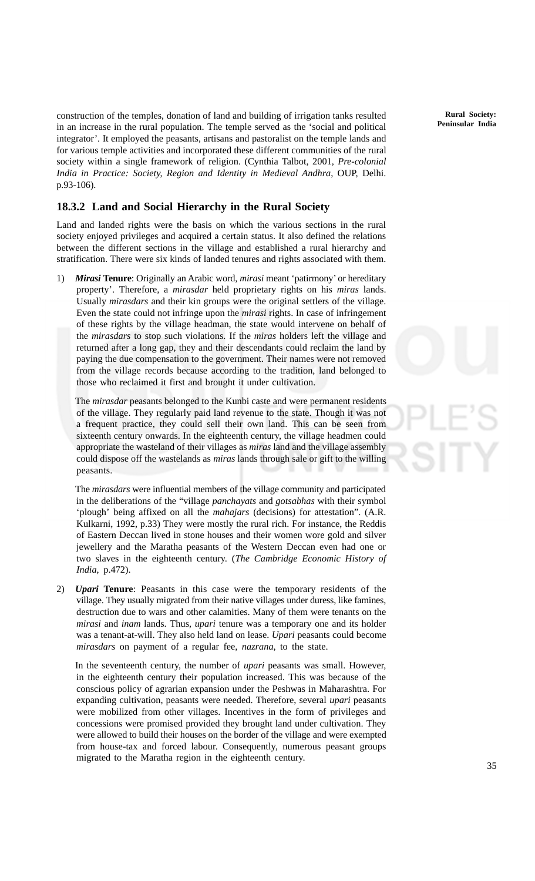construction of the temples, donation of land and building of irrigation tanks resulted in an increase in the rural population. The temple served as the 'social and political integrator'. It employed the peasants, artisans and pastoralist on the temple lands and for various temple activities and incorporated these different communities of the rural society within a single framework of religion. (Cynthia Talbot, 2001, *Pre-colonial India in Practice: Society, Region and Identity in Medieval Andhra*, OUP, Delhi. p.93-106).

#### **18.3.2 Land and Social Hierarchy in the Rural Society**

Land and landed rights were the basis on which the various sections in the rural society enjoyed privileges and acquired a certain status. It also defined the relations between the different sections in the village and established a rural hierarchy and stratification. There were six kinds of landed tenures and rights associated with them.

1) *Mirasi* **Tenure**: Originally an Arabic word, *mirasi* meant 'patirmony' or hereditary property'. Therefore, a *mirasdar* held proprietary rights on his *miras* lands. Usually *mirasdars* and their kin groups were the original settlers of the village. Even the state could not infringe upon the *mirasi* rights. In case of infringement of these rights by the village headman, the state would intervene on behalf of the *mirasdars* to stop such violations. If the *miras* holders left the village and returned after a long gap, they and their descendants could reclaim the land by paying the due compensation to the government. Their names were not removed from the village records because according to the tradition, land belonged to those who reclaimed it first and brought it under cultivation.

The *mirasdar* peasants belonged to the Kunbi caste and were permanent residents of the village. They regularly paid land revenue to the state. Though it was not a frequent practice, they could sell their own land. This can be seen from sixteenth century onwards. In the eighteenth century, the village headmen could appropriate the wasteland of their villages as *miras* land and the village assembly could dispose off the wastelands as *miras* lands through sale or gift to the willing peasants.

The *mirasdars* were influential members of the village community and participated in the deliberations of the "village *panchayats* and *gotsabhas* with their symbol 'plough' being affixed on all the *mahajars* (decisions) for attestation". (A.R. Kulkarni, 1992, p.33) They were mostly the rural rich. For instance, the Reddis of Eastern Deccan lived in stone houses and their women wore gold and silver jewellery and the Maratha peasants of the Western Deccan even had one or two slaves in the eighteenth century. (*The Cambridge Economic History of India*, p.472).

2) *Upari* **Tenure**: Peasants in this case were the temporary residents of the village. They usually migrated from their native villages under duress, like famines, destruction due to wars and other calamities. Many of them were tenants on the *mirasi* and *inam* lands. Thus, *upari* tenure was a temporary one and its holder was a tenant-at-will. They also held land on lease. *Upari* peasants could become *mirasdars* on payment of a regular fee, *nazrana*, to the state.

In the seventeenth century, the number of *upari* peasants was small. However, in the eighteenth century their population increased. This was because of the conscious policy of agrarian expansion under the Peshwas in Maharashtra. For expanding cultivation, peasants were needed. Therefore, several *upari* peasants were mobilized from other villages. Incentives in the form of privileges and concessions were promised provided they brought land under cultivation. They were allowed to build their houses on the border of the village and were exempted from house-tax and forced labour. Consequently, numerous peasant groups migrated to the Maratha region in the eighteenth century.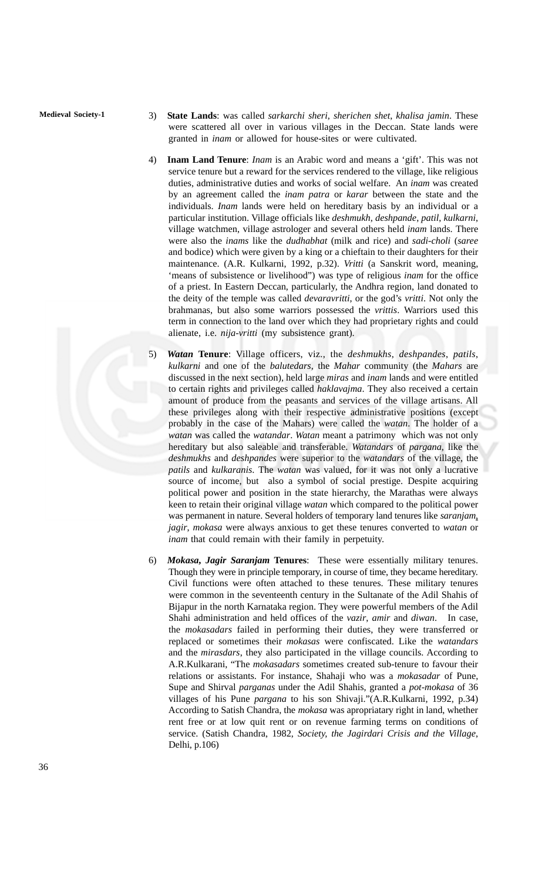- **Medieval Society-1** 3) **State Lands**: was called *sarkarchi sheri*, *sherichen shet*, *khalisa jamin*. These were scattered all over in various villages in the Deccan. State lands were granted in *inam* or allowed for house-sites or were cultivated.
	- 4) **Inam Land Tenure**: *Inam* is an Arabic word and means a 'gift'. This was not service tenure but a reward for the services rendered to the village, like religious duties, administrative duties and works of social welfare. An *inam* was created by an agreement called the *inam patra* or *karar* between the state and the individuals. *Inam* lands were held on hereditary basis by an individual or a particular institution. Village officials like *deshmukh*, *deshpande*, *patil*, *kulkarni*, village watchmen, village astrologer and several others held *inam* lands. There were also the *inams* like the *dudhabhat* (milk and rice) and *sadi-choli* (*saree* and bodice) which were given by a king or a chieftain to their daughters for their maintenance. (A.R. Kulkarni, 1992, p.32). *Vritti* (a Sanskrit word, meaning, 'means of subsistence or livelihood") was type of religious *inam* for the office of a priest. In Eastern Deccan, particularly, the Andhra region, land donated to the deity of the temple was called *devaravritti*, or the god's *vritti*. Not only the brahmanas, but also some warriors possessed the *vrittis*. Warriors used this term in connection to the land over which they had proprietary rights and could alienate, i.e. *nija-vritti* (my subsistence grant).
	- 5) *Watan* **Tenure**: Village officers, viz., the *deshmukhs*, *deshpandes*, *patils*, *kulkarni* and one of the *balutedars*, the *Mahar* community (the *Mahars* are discussed in the next section), held large *miras* and *inam* lands and were entitled to certain rights and privileges called *haklavajma*. They also received a certain amount of produce from the peasants and services of the village artisans. All these privileges along with their respective administrative positions (except probably in the case of the Mahars) were called the *watan*. The holder of a *watan* was called the *watandar*. *Watan* meant a patrimony which was not only hereditary but also saleable and transferable. *Watandars* of *pargana*, like the *deshmukhs* and *deshpandes* were superior to the *watandars* of the village, the *patils* and *kulkaranis*. The *watan* was valued, for it was not only a lucrative source of income, but also a symbol of social prestige. Despite acquiring political power and position in the state hierarchy, the Marathas were always keen to retain their original village *watan* which compared to the political power was permanent in nature. Several holders of temporary land tenures like *saranjam*, *jagir*, *mokasa* were always anxious to get these tenures converted to *watan* or *inam* that could remain with their family in perpetuity.
	- 6) *Mokasa***,** *Jagir Saranjam* **Tenures**: These were essentially military tenures. Though they were in principle temporary, in course of time, they became hereditary. Civil functions were often attached to these tenures. These military tenures were common in the seventeenth century in the Sultanate of the Adil Shahis of Bijapur in the north Karnataka region. They were powerful members of the Adil Shahi administration and held offices of the *vazir*, *amir* and *diwan*. In case, the *mokasadars* failed in performing their duties, they were transferred or replaced or sometimes their *mokasas* were confiscated. Like the *watandars* and the *mirasdars*, they also participated in the village councils. According to A.R.Kulkarani, "The *mokasadars* sometimes created sub-tenure to favour their relations or assistants. For instance, Shahaji who was a *mokasadar* of Pune, Supe and Shirval *parganas* under the Adil Shahis, granted a *pot-mokasa* of 36 villages of his Pune *pargana* to his son Shivaji."(A.R.Kulkarni, 1992, p.34) According to Satish Chandra, the *mokasa* was apropriatary right in land, whether rent free or at low quit rent or on revenue farming terms on conditions of service. (Satish Chandra, 1982, *Society, the Jagirdari Crisis and the Village*, Delhi, p.106)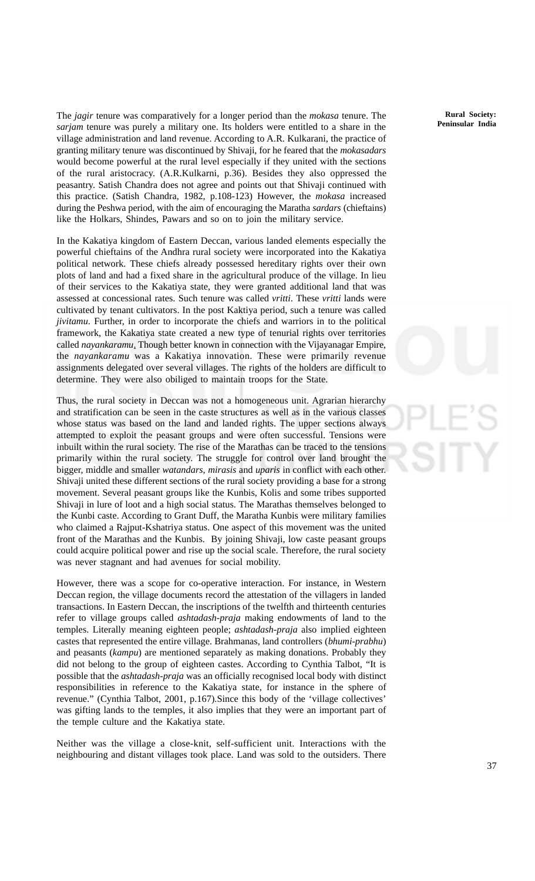The *jagir* tenure was comparatively for a longer period than the *mokasa* tenure. The *sarjam* tenure was purely a military one. Its holders were entitled to a share in the village administration and land revenue. According to A.R. Kulkarani, the practice of granting military tenure was discontinued by Shivaji, for he feared that the *mokasadars* would become powerful at the rural level especially if they united with the sections of the rural aristocracy. (A.R.Kulkarni, p.36). Besides they also oppressed the peasantry. Satish Chandra does not agree and points out that Shivaji continued with this practice. (Satish Chandra, 1982, p.108-123) However, the *mokasa* increased during the Peshwa period, with the aim of encouraging the Maratha *sardars* (chieftains) like the Holkars, Shindes, Pawars and so on to join the military service.

In the Kakatiya kingdom of Eastern Deccan, various landed elements especially the powerful chieftains of the Andhra rural society were incorporated into the Kakatiya political network. These chiefs already possessed hereditary rights over their own plots of land and had a fixed share in the agricultural produce of the village. In lieu of their services to the Kakatiya state, they were granted additional land that was assessed at concessional rates. Such tenure was called *vritti*. These *vritti* lands were cultivated by tenant cultivators. In the post Kaktiya period, such a tenure was called *jivitamu*. Further, in order to incorporate the chiefs and warriors in to the political framework, the Kakatiya state created a new type of tenurial rights over territories called *nayankaramu*. Though better known in connection with the Vijayanagar Empire, the *nayankaramu* was a Kakatiya innovation. These were primarily revenue assignments delegated over several villages. The rights of the holders are difficult to determine. They were also obiliged to maintain troops for the State.

Thus, the rural society in Deccan was not a homogeneous unit. Agrarian hierarchy and stratification can be seen in the caste structures as well as in the various classes whose status was based on the land and landed rights. The upper sections always attempted to exploit the peasant groups and were often successful. Tensions were inbuilt within the rural society. The rise of the Marathas can be traced to the tensions primarily within the rural society. The struggle for control over land brought the bigger, middle and smaller *watandars*, *mirasis* and *uparis* in conflict with each other. Shivaji united these different sections of the rural society providing a base for a strong movement. Several peasant groups like the Kunbis, Kolis and some tribes supported Shivaji in lure of loot and a high social status. The Marathas themselves belonged to the Kunbi caste. According to Grant Duff, the Maratha Kunbis were military families who claimed a Rajput-Kshatriya status. One aspect of this movement was the united front of the Marathas and the Kunbis. By joining Shivaji, low caste peasant groups could acquire political power and rise up the social scale. Therefore, the rural society was never stagnant and had avenues for social mobility.

However, there was a scope for co-operative interaction. For instance, in Western Deccan region, the village documents record the attestation of the villagers in landed transactions. In Eastern Deccan, the inscriptions of the twelfth and thirteenth centuries refer to village groups called *ashtadash-praja* making endowments of land to the temples. Literally meaning eighteen people; *ashtadash-praja* also implied eighteen castes that represented the entire village. Brahmanas, land controllers (*bhumi-prabhu*) and peasants (*kampu*) are mentioned separately as making donations. Probably they did not belong to the group of eighteen castes. According to Cynthia Talbot, "It is possible that the *ashtadash-praja* was an officially recognised local body with distinct responsibilities in reference to the Kakatiya state, for instance in the sphere of revenue." (Cynthia Talbot, 2001, p.167).Since this body of the 'village collectives' was gifting lands to the temples, it also implies that they were an important part of the temple culture and the Kakatiya state.

Neither was the village a close-knit, self-sufficient unit. Interactions with the neighbouring and distant villages took place. Land was sold to the outsiders. There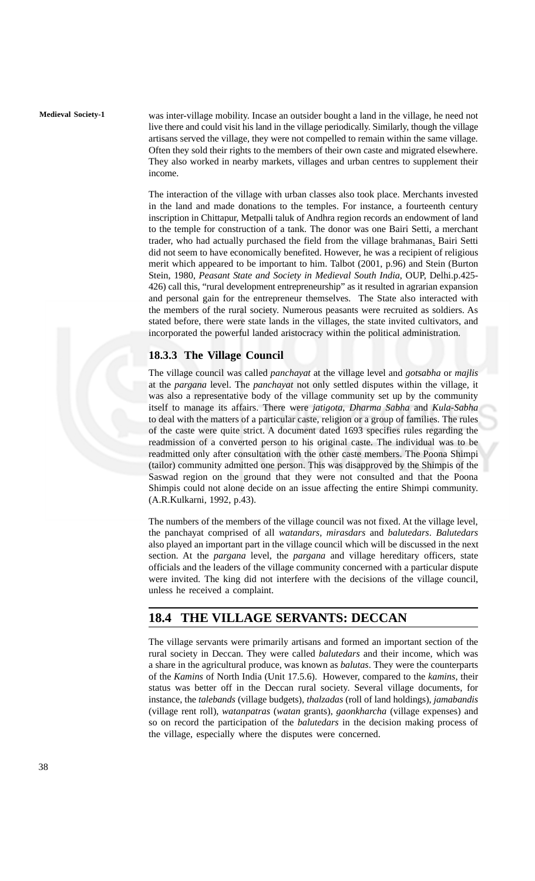**Medieval Society-1** was inter-village mobility. Incase an outsider bought a land in the village, he need not live there and could visit his land in the village periodically. Similarly, though the village artisans served the village, they were not compelled to remain within the same village. Often they sold their rights to the members of their own caste and migrated elsewhere. They also worked in nearby markets, villages and urban centres to supplement their income.

> The interaction of the village with urban classes also took place. Merchants invested in the land and made donations to the temples. For instance, a fourteenth century inscription in Chittapur, Metpalli taluk of Andhra region records an endowment of land to the temple for construction of a tank. The donor was one Bairi Setti, a merchant trader, who had actually purchased the field from the village brahmanas. Bairi Setti did not seem to have economically benefited. However, he was a recipient of religious merit which appeared to be important to him. Talbot (2001, p.96) and Stein (Burton Stein, 1980, *Peasant State and Society in Medieval South India*, OUP, Delhi.p.425- 426) call this, "rural development entrepreneurship" as it resulted in agrarian expansion and personal gain for the entrepreneur themselves. The State also interacted with the members of the rural society. Numerous peasants were recruited as soldiers. As stated before, there were state lands in the villages, the state invited cultivators, and incorporated the powerful landed aristocracy within the political administration.

#### **18.3.3 The Village Council**

The village council was called *panchayat* at the village level and *gotsabha* or *majlis* at the *pargana* level. The *panchayat* not only settled disputes within the village, it was also a representative body of the village community set up by the community itself to manage its affairs. There were *jatigota*, *Dharma Sabha* and *Kula-Sabha* to deal with the matters of a particular caste, religion or a group of families. The rules of the caste were quite strict. A document dated 1693 specifies rules regarding the readmission of a converted person to his original caste. The individual was to be readmitted only after consultation with the other caste members. The Poona Shimpi (tailor) community admitted one person. This was disapproved by the Shimpis of the Saswad region on the ground that they were not consulted and that the Poona Shimpis could not alone decide on an issue affecting the entire Shimpi community. (A.R.Kulkarni, 1992, p.43).

The numbers of the members of the village council was not fixed. At the village level, the panchayat comprised of all *watandars, mirasdars* and *balutedars*. *Balutedars* also played an important part in the village council which will be discussed in the next section. At the *pargana* level, the *pargana* and village hereditary officers, state officials and the leaders of the village community concerned with a particular dispute were invited. The king did not interfere with the decisions of the village council, unless he received a complaint.

### **18.4 THE VILLAGE SERVANTS: DECCAN**

The village servants were primarily artisans and formed an important section of the rural society in Deccan. They were called *balutedars* and their income, which was a share in the agricultural produce, was known as *balutas*. They were the counterparts of the *Kamins* of North India (Unit 17.5.6). However, compared to the *kamins*, their status was better off in the Deccan rural society. Several village documents, for instance, the *talebands* (village budgets), *thalzadas* (roll of land holdings), *jamabandis* (village rent roll), *watanpatras* (*watan* grants), *gaonkharcha* (village expenses) and so on record the participation of the *balutedars* in the decision making process of the village, especially where the disputes were concerned.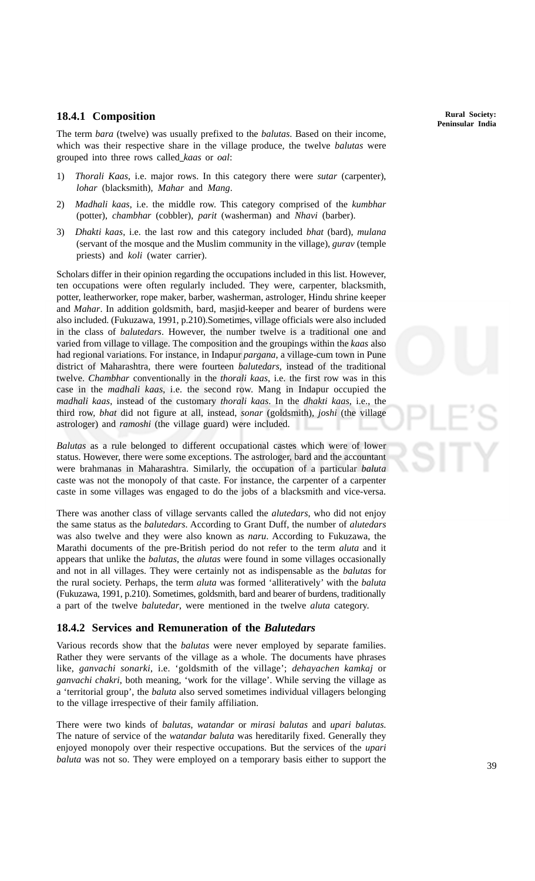#### **18.4.1 Composition**

The term *bara* (twelve) was usually prefixed to the *balutas*. Based on their income, which was their respective share in the village produce, the twelve *balutas* were grouped into three rows called *kaas* or *oal*:

- 1) *Thorali Kaas*, i.e. major rows. In this category there were *sutar* (carpenter), *lohar* (blacksmith), *Mahar* and *Mang*.
- 2) *Madhali kaas*, i.e. the middle row. This category comprised of the *kumbhar* (potter), *chambhar* (cobbler), *parit* (washerman) and *Nhavi* (barber).
- 3) *Dhakti kaas*, i.e. the last row and this category included *bhat* (bard), *mulana* (servant of the mosque and the Muslim community in the village), *gurav* (temple priests) and *koli* (water carrier).

Scholars differ in their opinion regarding the occupations included in this list. However, ten occupations were often regularly included. They were, carpenter, blacksmith, potter, leatherworker, rope maker, barber, washerman, astrologer, Hindu shrine keeper and *Mahar*. In addition goldsmith, bard, masjid-keeper and bearer of burdens were also included. (Fukuzawa, 1991, p.210).Sometimes, village officials were also included in the class of *balutedars*. However, the number twelve is a traditional one and varied from village to village. The composition and the groupings within the *kaas* also had regional variations. For instance, in Indapur *pargana*, a village-cum town in Pune district of Maharashtra, there were fourteen *balutedars*, instead of the traditional twelve. *Chambhar* conventionally in the *thorali kaas*, i.e. the first row was in this case in the *madhali kaas*, i.e. the second row. Mang in Indapur occupied the *madhali kaas*, instead of the customary *thorali kaas*. In the *dhakti kaas*, i.e., the third row, *bhat* did not figure at all, instead, *sonar* (goldsmith), *joshi* (the village astrologer) and *ramoshi* (the village guard) were included.

*Balutas* as a rule belonged to different occupational castes which were of lower status. However, there were some exceptions. The astrologer, bard and the accountant were brahmanas in Maharashtra. Similarly, the occupation of a particular *baluta* caste was not the monopoly of that caste. For instance, the carpenter of a carpenter caste in some villages was engaged to do the jobs of a blacksmith and vice-versa.

There was another class of village servants called the *alutedars*, who did not enjoy the same status as the *balutedars*. According to Grant Duff, the number of *alutedars* was also twelve and they were also known as *naru*. According to Fukuzawa, the Marathi documents of the pre-British period do not refer to the term *aluta* and it appears that unlike the *balutas*, the *alutas* were found in some villages occasionally and not in all villages. They were certainly not as indispensable as the *balutas* for the rural society. Perhaps, the term *aluta* was formed 'alliteratively' with the *baluta* (Fukuzawa, 1991, p.210). Sometimes, goldsmith, bard and bearer of burdens, traditionally a part of the twelve *balutedar*, were mentioned in the twelve *aluta* category.

#### **18.4.2 Services and Remuneration of the** *Balutedars*

Various records show that the *balutas* were never employed by separate families. Rather they were servants of the village as a whole. The documents have phrases like, *ganvachi sonarki*, i.e. 'goldsmith of the village'; *dehayachen kamkaj* or *ganvachi chakri*, both meaning, 'work for the village'. While serving the village as a 'territorial group', the *baluta* also served sometimes individual villagers belonging to the village irrespective of their family affiliation.

There were two kinds of *balutas*, *watandar* or *mirasi balutas* and *upari balutas*. The nature of service of the *watandar baluta* was hereditarily fixed. Generally they enjoyed monopoly over their respective occupations. But the services of the *upari baluta* was not so. They were employed on a temporary basis either to support the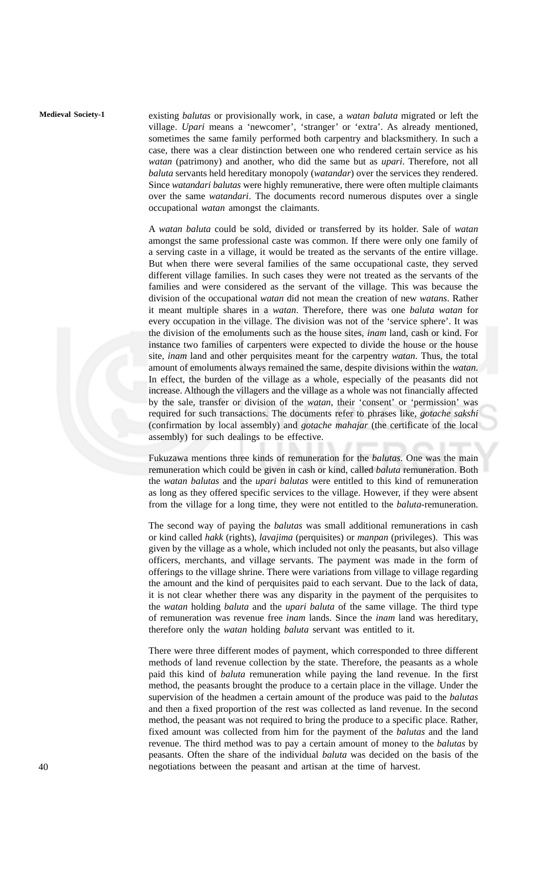**Medieval Society-1** existing *balutas* or provisionally work, in case, a *watan baluta* migrated or left the village. *Upari* means a 'newcomer', 'stranger' or 'extra'. As already mentioned, sometimes the same family performed both carpentry and blacksmithery. In such a case, there was a clear distinction between one who rendered certain service as his *watan* (patrimony) and another, who did the same but as *upari*. Therefore, not all *baluta* servants held hereditary monopoly (*watandar*) over the services they rendered. Since *watandari balutas* were highly remunerative, there were often multiple claimants over the same *watandari*. The documents record numerous disputes over a single occupational *watan* amongst the claimants.

> A *watan baluta* could be sold, divided or transferred by its holder. Sale of *watan* amongst the same professional caste was common. If there were only one family of a serving caste in a village, it would be treated as the servants of the entire village. But when there were several families of the same occupational caste, they served different village families. In such cases they were not treated as the servants of the families and were considered as the servant of the village. This was because the division of the occupational *watan* did not mean the creation of new *watans*. Rather it meant multiple shares in a *watan*. Therefore, there was one *baluta watan* for every occupation in the village. The division was not of the 'service sphere'. It was the division of the emoluments such as the house sites, *inam* land, cash or kind. For instance two families of carpenters were expected to divide the house or the house site, *inam* land and other perquisites meant for the carpentry *watan*. Thus, the total amount of emoluments always remained the same, despite divisions within the *watan*. In effect, the burden of the village as a whole, especially of the peasants did not increase. Although the villagers and the village as a whole was not financially affected by the sale, transfer or division of the *watan*, their 'consent' or 'permission' was required for such transactions. The documents refer to phrases like, *gotache sakshi* (confirmation by local assembly) and *gotache mahajar* (the certificate of the local assembly) for such dealings to be effective.

> Fukuzawa mentions three kinds of remuneration for the *balutas*. One was the main remuneration which could be given in cash or kind, called *baluta* remuneration. Both the *watan balutas* and the *upari balutas* were entitled to this kind of remuneration as long as they offered specific services to the village. However, if they were absent from the village for a long time, they were not entitled to the *baluta*-remuneration.

> The second way of paying the *balutas* was small additional remunerations in cash or kind called *hakk* (rights), *lavajima* (perquisites) or *manpan* (privileges). This was given by the village as a whole, which included not only the peasants, but also village officers, merchants, and village servants. The payment was made in the form of offerings to the village shrine. There were variations from village to village regarding the amount and the kind of perquisites paid to each servant. Due to the lack of data, it is not clear whether there was any disparity in the payment of the perquisites to the *watan* holding *baluta* and the *upari baluta* of the same village. The third type of remuneration was revenue free *inam* lands. Since the *inam* land was hereditary, therefore only the *watan* holding *baluta* servant was entitled to it.

> There were three different modes of payment, which corresponded to three different methods of land revenue collection by the state. Therefore, the peasants as a whole paid this kind of *baluta* remuneration while paying the land revenue. In the first method, the peasants brought the produce to a certain place in the village. Under the supervision of the headmen a certain amount of the produce was paid to the *balutas* and then a fixed proportion of the rest was collected as land revenue. In the second method, the peasant was not required to bring the produce to a specific place. Rather, fixed amount was collected from him for the payment of the *balutas* and the land revenue. The third method was to pay a certain amount of money to the *balutas* by peasants. Often the share of the individual *baluta* was decided on the basis of the negotiations between the peasant and artisan at the time of harvest.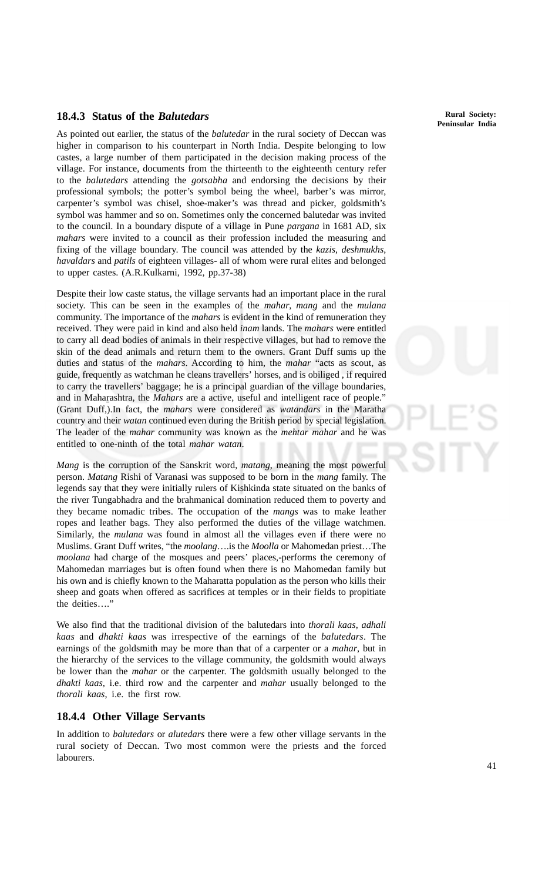#### **18.4.3 Status of the** *Balutedars*

As pointed out earlier, the status of the *balutedar* in the rural society of Deccan was higher in comparison to his counterpart in North India. Despite belonging to low castes, a large number of them participated in the decision making process of the village. For instance, documents from the thirteenth to the eighteenth century refer to the *balutedars* attending the *gotsabha* and endorsing the decisions by their professional symbols; the potter's symbol being the wheel, barber's was mirror, carpenter's symbol was chisel, shoe-maker's was thread and picker, goldsmith's symbol was hammer and so on. Sometimes only the concerned balutedar was invited to the council. In a boundary dispute of a village in Pune *pargana* in 1681 AD, six *mahars* were invited to a council as their profession included the measuring and fixing of the village boundary. The council was attended by the *kazis*, *deshmukhs*, *havaldars* and *patils* of eighteen villages- all of whom were rural elites and belonged to upper castes. (A.R.Kulkarni, 1992, pp.37-38)

Despite their low caste status, the village servants had an important place in the rural society. This can be seen in the examples of the *mahar*, *mang* and the *mulana* community. The importance of the *mahars* is evident in the kind of remuneration they received. They were paid in kind and also held *inam* lands. The *mahars* were entitled to carry all dead bodies of animals in their respective villages, but had to remove the skin of the dead animals and return them to the owners. Grant Duff sums up the duties and status of the *mahars*. According to him, the *mahar* "acts as scout, as guide, frequently as watchman he cleans travellers' horses, and is obiliged , if required to carry the travellers' baggage; he is a principal guardian of the village boundaries, and in Maharashtra, the *Mahars* are a active, useful and intelligent race of people." (Grant Duff,).In fact, the *mahars* were considered as *watandars* in the Maratha country and their *watan* continued even during the British period by special legislation. The leader of the *mahar* community was known as the *mehtar mahar* and he was entitled to one-ninth of the total *mahar watan*.

*Mang* is the corruption of the Sanskrit word, *matang*, meaning the most powerful person. *Matang* Rishi of Varanasi was supposed to be born in the *mang* family. The legends say that they were initially rulers of Kishkinda state situated on the banks of the river Tungabhadra and the brahmanical domination reduced them to poverty and they became nomadic tribes. The occupation of the *mangs* was to make leather ropes and leather bags. They also performed the duties of the village watchmen. Similarly, the *mulana* was found in almost all the villages even if there were no Muslims. Grant Duff writes, "the *moolang*….is the *Moolla* or Mahomedan priest…The *moolana* had charge of the mosques and peers' places,-performs the ceremony of Mahomedan marriages but is often found when there is no Mahomedan family but his own and is chiefly known to the Maharatta population as the person who kills their sheep and goats when offered as sacrifices at temples or in their fields to propitiate the deities…."

We also find that the traditional division of the balutedars into *thorali kaas*, *adhali kaas* and *dhakti kaas* was irrespective of the earnings of the *balutedars*. The earnings of the goldsmith may be more than that of a carpenter or a *mahar*, but in the hierarchy of the services to the village community, the goldsmith would always be lower than the *mahar* or the carpenter. The goldsmith usually belonged to the *dhakti kaas*, i.e. third row and the carpenter and *mahar* usually belonged to the *thorali kaas*, i.e. the first row.

#### **18.4.4 Other Village Servants**

In addition to *balutedars* or *alutedars* there were a few other village servants in the rural society of Deccan. Two most common were the priests and the forced labourers.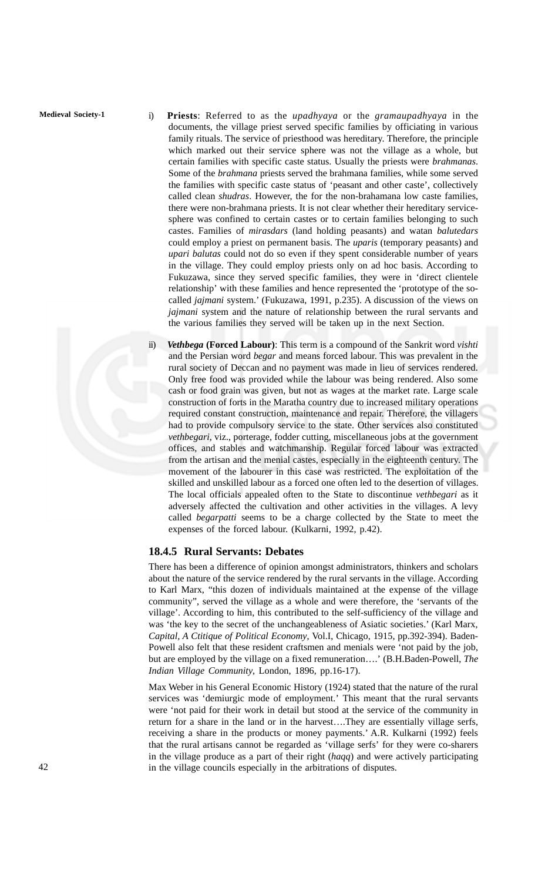- **Medieval Society-1** i) **Priests**: Referred to as the *upadhyaya* or the *gramaupadhyaya* in the documents, the village priest served specific families by officiating in various family rituals. The service of priesthood was hereditary. Therefore, the principle which marked out their service sphere was not the village as a whole, but certain families with specific caste status. Usually the priests were *brahmanas*. Some of the *brahmana* priests served the brahmana families, while some served the families with specific caste status of 'peasant and other caste', collectively called clean *shudras*. However, the for the non-brahamana low caste families, there were non-brahmana priests. It is not clear whether their hereditary servicesphere was confined to certain castes or to certain families belonging to such castes. Families of *mirasdars* (land holding peasants) and watan *balutedars* could employ a priest on permanent basis. The *uparis* (temporary peasants) and *upari balutas* could not do so even if they spent considerable number of years in the village. They could employ priests only on ad hoc basis. According to Fukuzawa, since they served specific families, they were in 'direct clientele relationship' with these families and hence represented the 'prototype of the socalled *jajmani* system.' (Fukuzawa, 1991, p.235). A discussion of the views on *jajmani* system and the nature of relationship between the rural servants and the various families they served will be taken up in the next Section.
	- ii) *Vethbega* **(Forced Labour)**: This term is a compound of the Sankrit word *vishti* and the Persian word *begar* and means forced labour. This was prevalent in the rural society of Deccan and no payment was made in lieu of services rendered. Only free food was provided while the labour was being rendered. Also some cash or food grain was given, but not as wages at the market rate. Large scale construction of forts in the Maratha country due to increased military operations required constant construction, maintenance and repair. Therefore, the villagers had to provide compulsory service to the state. Other services also constituted *vethbegari*, viz., porterage, fodder cutting, miscellaneous jobs at the government offices, and stables and watchmanship. Regular forced labour was extracted from the artisan and the menial castes, especially in the eighteenth century. The movement of the labourer in this case was restricted. The exploitation of the skilled and unskilled labour as a forced one often led to the desertion of villages. The local officials appealed often to the State to discontinue *vethbegari* as it adversely affected the cultivation and other activities in the villages. A levy called *begarpatti* seems to be a charge collected by the State to meet the expenses of the forced labour. (Kulkarni, 1992, p.42).

#### **18.4.5 Rural Servants: Debates**

There has been a difference of opinion amongst administrators, thinkers and scholars about the nature of the service rendered by the rural servants in the village. According to Karl Marx, "this dozen of individuals maintained at the expense of the village community", served the village as a whole and were therefore, the 'servants of the village'. According to him, this contributed to the self-sufficiency of the village and was 'the key to the secret of the unchangeableness of Asiatic societies.' (Karl Marx, *Capital, A Ctitique of Political Economy*, Vol.I, Chicago, 1915, pp.392-394). Baden-Powell also felt that these resident craftsmen and menials were 'not paid by the job, but are employed by the village on a fixed remuneration….' (B.H.Baden-Powell, *The Indian Village Community*, London, 1896, pp.16-17).

Max Weber in his General Economic History (1924) stated that the nature of the rural services was 'demiurgic mode of employment.' This meant that the rural servants were 'not paid for their work in detail but stood at the service of the community in return for a share in the land or in the harvest….They are essentially village serfs, receiving a share in the products or money payments.' A.R. Kulkarni (1992) feels that the rural artisans cannot be regarded as 'village serfs' for they were co-sharers in the village produce as a part of their right (*haqq*) and were actively participating in the village councils especially in the arbitrations of disputes.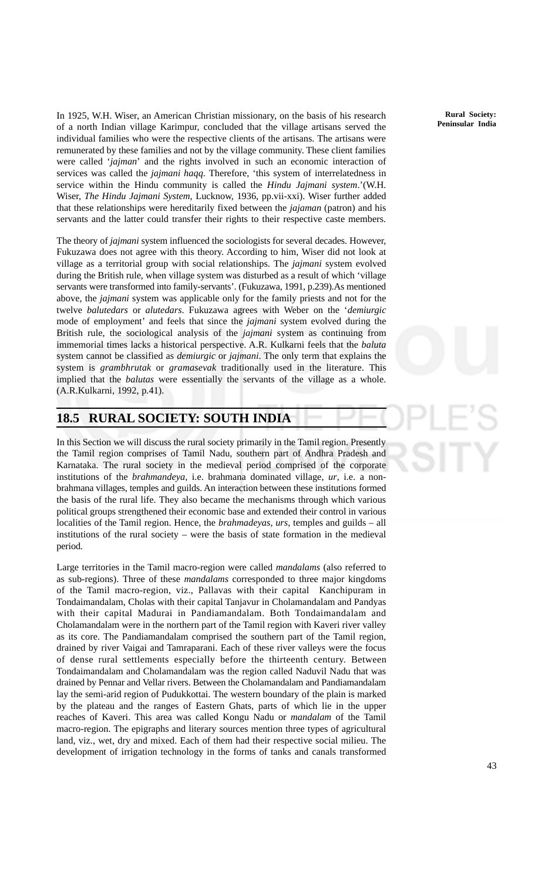In 1925, W.H. Wiser, an American Christian missionary, on the basis of his research of a north Indian village Karimpur, concluded that the village artisans served the individual families who were the respective clients of the artisans. The artisans were remunerated by these families and not by the village community. These client families were called '*jajman*' and the rights involved in such an economic interaction of services was called the *jajmani haqq*. Therefore, 'this system of interrelatedness in service within the Hindu community is called the *Hindu Jajmani system*.'(W.H. Wiser, *The Hindu Jajmani System*, Lucknow, 1936, pp.vii-xxi). Wiser further added that these relationships were hereditarily fixed between the *jajaman* (patron) and his servants and the latter could transfer their rights to their respective caste members.

The theory of *jajmani* system influenced the sociologists for several decades. However, Fukuzawa does not agree with this theory. According to him, Wiser did not look at village as a territorial group with social relationships. The *jajmani* system evolved during the British rule, when village system was disturbed as a result of which 'village servants were transformed into family-servants'. (Fukuzawa, 1991, p.239).As mentioned above, the *jajmani* system was applicable only for the family priests and not for the twelve *balutedars* or *alutedars*. Fukuzawa agrees with Weber on the '*demiurgic* mode of employment' and feels that since the *jajmani* system evolved during the British rule, the sociological analysis of the *jajmani* system as continuing from immemorial times lacks a historical perspective. A.R. Kulkarni feels that the *baluta* system cannot be classified as *demiurgic* or *jajmani*. The only term that explains the system is *grambhrutak* or *gramasevak* traditionally used in the literature. This implied that the *balutas* were essentially the servants of the village as a whole. (A.R.Kulkarni, 1992, p.41).

## **18.5 RURAL SOCIETY: SOUTH INDIA**

In this Section we will discuss the rural society primarily in the Tamil region. Presently the Tamil region comprises of Tamil Nadu, southern part of Andhra Pradesh and Karnataka. The rural society in the medieval period comprised of the corporate institutions of the *brahmandeya*, i.e. brahmana dominated village, *ur*, i.e. a nonbrahmana villages, temples and guilds. An interaction between these institutions formed the basis of the rural life. They also became the mechanisms through which various political groups strengthened their economic base and extended their control in various localities of the Tamil region. Hence, the *brahmadeyas*, *urs*, temples and guilds – all institutions of the rural society – were the basis of state formation in the medieval period.

Large territories in the Tamil macro-region were called *mandalams* (also referred to as sub-regions). Three of these *mandalams* corresponded to three major kingdoms of the Tamil macro-region, viz., Pallavas with their capital Kanchipuram in Tondaimandalam, Cholas with their capital Tanjavur in Cholamandalam and Pandyas with their capital Madurai in Pandiamandalam. Both Tondaimandalam and Cholamandalam were in the northern part of the Tamil region with Kaveri river valley as its core. The Pandiamandalam comprised the southern part of the Tamil region, drained by river Vaigai and Tamraparani. Each of these river valleys were the focus of dense rural settlements especially before the thirteenth century. Between Tondaimandalam and Cholamandalam was the region called Naduvil Nadu that was drained by Pennar and Vellar rivers. Between the Cholamandalam and Pandiamandalam lay the semi-arid region of Pudukkottai. The western boundary of the plain is marked by the plateau and the ranges of Eastern Ghats, parts of which lie in the upper reaches of Kaveri. This area was called Kongu Nadu or *mandalam* of the Tamil macro-region. The epigraphs and literary sources mention three types of agricultural land, viz., wet, dry and mixed. Each of them had their respective social milieu. The development of irrigation technology in the forms of tanks and canals transformed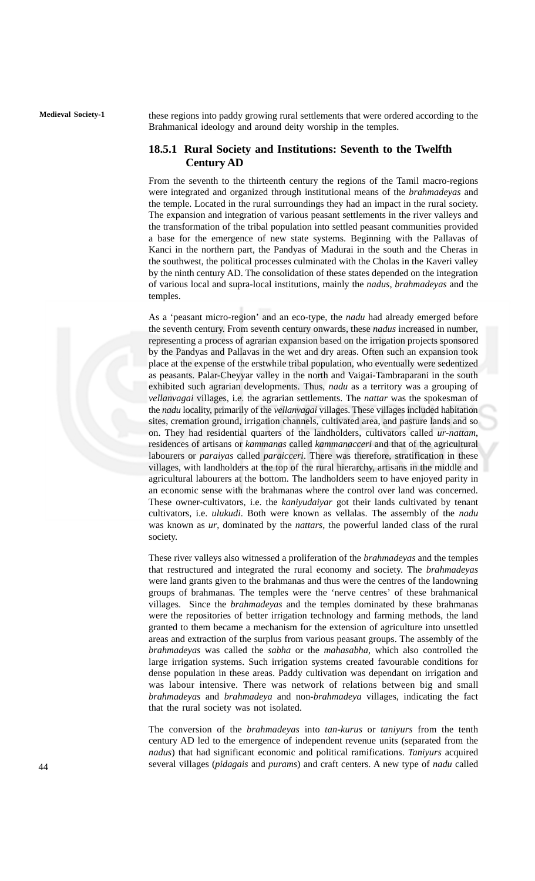**Medieval Society-1** these regions into paddy growing rural settlements that were ordered according to the Brahmanical ideology and around deity worship in the temples.

#### **18.5.1 Rural Society and Institutions: Seventh to the Twelfth Century AD**

From the seventh to the thirteenth century the regions of the Tamil macro-regions were integrated and organized through institutional means of the *brahmadeyas* and the temple. Located in the rural surroundings they had an impact in the rural society. The expansion and integration of various peasant settlements in the river valleys and the transformation of the tribal population into settled peasant communities provided a base for the emergence of new state systems. Beginning with the Pallavas of Kanci in the northern part, the Pandyas of Madurai in the south and the Cheras in the southwest, the political processes culminated with the Cholas in the Kaveri valley by the ninth century AD. The consolidation of these states depended on the integration of various local and supra-local institutions, mainly the *nadus*, *brahmadeyas* and the temples.

As a 'peasant micro-region' and an eco-type, the *nadu* had already emerged before the seventh century. From seventh century onwards, these *nadus* increased in number, representing a process of agrarian expansion based on the irrigation projects sponsored by the Pandyas and Pallavas in the wet and dry areas. Often such an expansion took place at the expense of the erstwhile tribal population, who eventually were sedentized as peasants. Palar-Cheyyar valley in the north and Vaigai-Tambraparani in the south exhibited such agrarian developments. Thus, *nadu* as a territory was a grouping of *vellanvagai* villages, i.e. the agrarian settlements. The *nattar* was the spokesman of the *nadu* locality, primarily of the *vellanvagai* villages. These villages included habitation sites, cremation ground, irrigation channels, cultivated area, and pasture lands and so on. They had residential quarters of the landholders, cultivators called *ur-nattam*, residences of artisans or *kammanas* called *kammanacceri* and that of the agricultural labourers or *paraiyas* called *paraicceri*. There was therefore, stratification in these villages, with landholders at the top of the rural hierarchy, artisans in the middle and agricultural labourers at the bottom. The landholders seem to have enjoyed parity in an economic sense with the brahmanas where the control over land was concerned. These owner-cultivators, i.e. the *kaniyudaiyar* got their lands cultivated by tenant cultivators, i.e. *ulukudi*. Both were known as vellalas. The assembly of the *nadu* was known as *ur*, dominated by the *nattars*, the powerful landed class of the rural society.

These river valleys also witnessed a proliferation of the *brahmadeyas* and the temples that restructured and integrated the rural economy and society. The *brahmadeyas* were land grants given to the brahmanas and thus were the centres of the landowning groups of brahmanas. The temples were the 'nerve centres' of these brahmanical villages. Since the *brahmadeyas* and the temples dominated by these brahmanas were the repositories of better irrigation technology and farming methods, the land granted to them became a mechanism for the extension of agriculture into unsettled areas and extraction of the surplus from various peasant groups. The assembly of the *brahmadeyas* was called the *sabha* or the *mahasabha*, which also controlled the large irrigation systems. Such irrigation systems created favourable conditions for dense population in these areas. Paddy cultivation was dependant on irrigation and was labour intensive. There was network of relations between big and small *brahmadeyas* and *brahmadeya* and non-*brahmadeya* villages, indicating the fact that the rural society was not isolated.

The conversion of the *brahmadeyas* into *tan-kurus* or *taniyurs* from the tenth century AD led to the emergence of independent revenue units (separated from the *nadus*) that had significant economic and political ramifications. *Taniyurs* acquired several villages (*pidagais* and *purams*) and craft centers. A new type of *nadu* called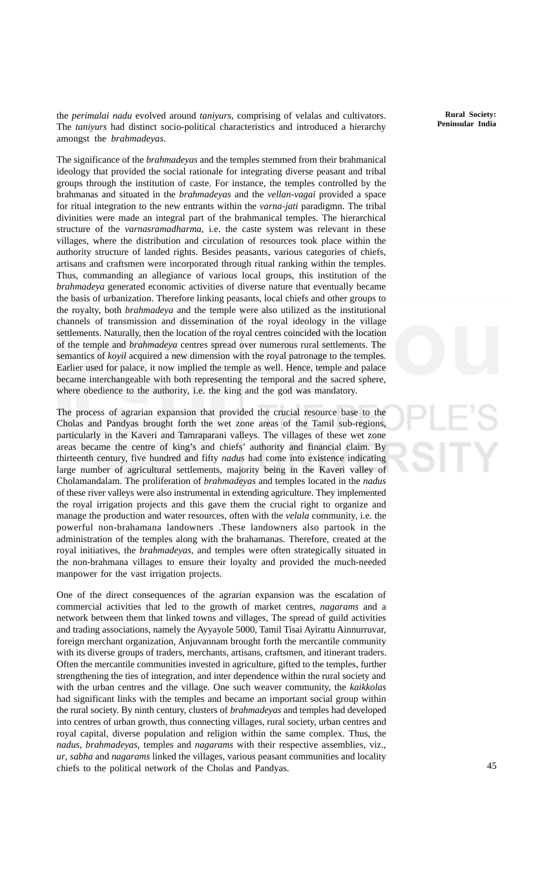the *perimalai nadu* evolved around *taniyurs*, comprising of velalas and cultivators. The *taniyurs* had distinct socio-political characteristics and introduced a hierarchy amongst the *brahmadeyas*.

The significance of the *brahmadeyas* and the temples stemmed from their brahmanical ideology that provided the social rationale for integrating diverse peasant and tribal groups through the institution of caste. For instance, the temples controlled by the brahmanas and situated in the *brahmadeyas* and the *vellan-vagai* provided a space for ritual integration to the new entrants within the *varna-jati* paradigmn. The tribal divinities were made an integral part of the brahmanical temples. The hierarchical structure of the *varnasramadharma*, i.e. the caste system was relevant in these villages, where the distribution and circulation of resources took place within the authority structure of landed rights. Besides peasants, various categories of chiefs, artisans and craftsmen were incorporated through ritual ranking within the temples. Thus, commanding an allegiance of various local groups, this institution of the *brahmadeya* generated economic activities of diverse nature that eventually became the basis of urbanization. Therefore linking peasants, local chiefs and other groups to the royalty, both *brahmadeya* and the temple were also utilized as the institutional channels of transmission and dissemination of the royal ideology in the village settlements. Naturally, then the location of the royal centres coincided with the location of the temple and *brahmadeya* centres spread over numerous rural settlements. The semantics of *koyil* acquired a new dimension with the royal patronage to the temples. Earlier used for palace, it now implied the temple as well. Hence, temple and palace became interchangeable with both representing the temporal and the sacred sphere, where obedience to the authority, i.e. the king and the god was mandatory.

The process of agrarian expansion that provided the crucial resource base to the Cholas and Pandyas brought forth the wet zone areas of the Tamil sub-regions, particularly in the Kaveri and Tamraparani valleys. The villages of these wet zone areas became the centre of king's and chiefs' authority and financial claim. By thirteenth century, five hundred and fifty *nadus* had come into existence indicating large number of agricultural settlements, majority being in the Kaveri valley of Cholamandalam. The proliferation of *brahmadeyas* and temples located in the *nadus* of these river valleys were also instrumental in extending agriculture. They implemented the royal irrigation projects and this gave them the crucial right to organize and manage the production and water resources, often with the *velala* community, i.e. the powerful non-brahamana landowners .These landowners also partook in the administration of the temples along with the brahamanas*.* Therefore, created at the royal initiatives, the *brahmadeyas,* and temples were often strategically situated in the non-brahmana villages to ensure their loyalty and provided the much-needed manpower for the vast irrigation projects.

One of the direct consequences of the agrarian expansion was the escalation of commercial activities that led to the growth of market centres, *nagarams* and a network between them that linked towns and villages, The spread of guild activities and trading associations, namely the Ayyayole 5000, Tamil Tisai Ayirattu Ainnurruvar, foreign merchant organization, Anjuvannam brought forth the mercantile community with its diverse groups of traders, merchants, artisans, craftsmen, and itinerant traders. Often the mercantile communities invested in agriculture, gifted to the temples, further strengthening the ties of integration, and inter dependence within the rural society and with the urban centres and the village. One such weaver community, the *kaikkolas* had significant links with the temples and became an important social group within the rural society. By ninth century, clusters of *brahmadeyas* and temples had developed into centres of urban growth, thus connecting villages, rural society, urban centres and royal capital, diverse population and religion within the same complex. Thus, the *nadus*, *brahmadeyas,* temples and *nagarams* with their respective assemblies, viz., *ur*, *sabha* and *nagarams* linked the villages, various peasant communities and locality chiefs to the political network of the Cholas and Pandyas.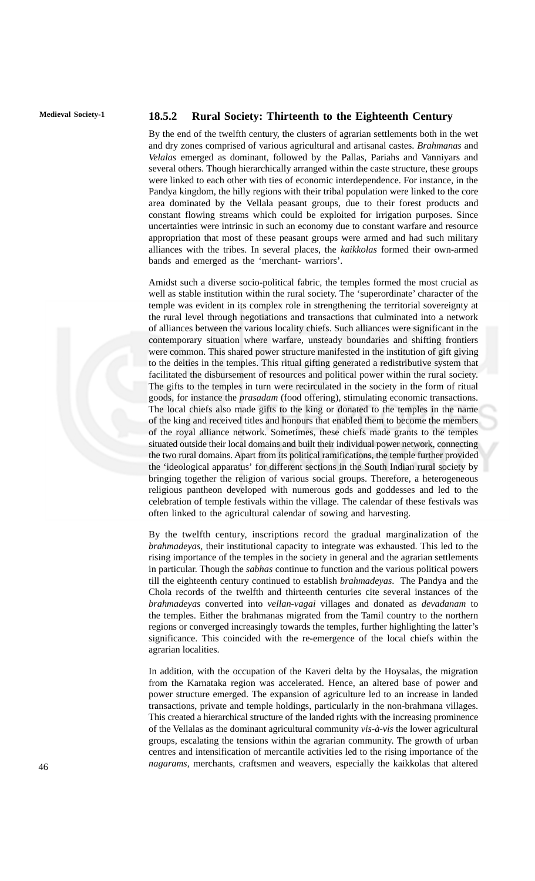### **Medieval Society-1 18.5.2 Rural Society: Thirteenth to the Eighteenth Century**

By the end of the twelfth century, the clusters of agrarian settlements both in the wet and dry zones comprised of various agricultural and artisanal castes. *Brahmanas* and *Velalas* emerged as dominant, followed by the Pallas, Pariahs and Vanniyars and several others. Though hierarchically arranged within the caste structure, these groups were linked to each other with ties of economic interdependence. For instance, in the Pandya kingdom, the hilly regions with their tribal population were linked to the core area dominated by the Vellala peasant groups, due to their forest products and constant flowing streams which could be exploited for irrigation purposes. Since uncertainties were intrinsic in such an economy due to constant warfare and resource appropriation that most of these peasant groups were armed and had such military alliances with the tribes. In several places, the *kaikkolas* formed their own-armed bands and emerged as the 'merchant- warriors'.

Amidst such a diverse socio-political fabric, the temples formed the most crucial as well as stable institution within the rural society. The 'superordinate' character of the temple was evident in its complex role in strengthening the territorial sovereignty at the rural level through negotiations and transactions that culminated into a network of alliances between the various locality chiefs. Such alliances were significant in the contemporary situation where warfare, unsteady boundaries and shifting frontiers were common. This shared power structure manifested in the institution of gift giving to the deities in the temples. This ritual gifting generated a redistributive system that facilitated the disbursement of resources and political power within the rural society. The gifts to the temples in turn were recirculated in the society in the form of ritual goods, for instance the *prasadam* (food offering), stimulating economic transactions. The local chiefs also made gifts to the king or donated to the temples in the name of the king and received titles and honours that enabled them to become the members of the royal alliance network. Sometimes, these chiefs made grants to the temples situated outside their local domains and built their individual power network, connecting the two rural domains. Apart from its political ramifications, the temple further provided the 'ideological apparatus' for different sections in the South Indian rural society by bringing together the religion of various social groups. Therefore, a heterogeneous religious pantheon developed with numerous gods and goddesses and led to the celebration of temple festivals within the village. The calendar of these festivals was often linked to the agricultural calendar of sowing and harvesting.

By the twelfth century, inscriptions record the gradual marginalization of the *brahmadeyas,* their institutional capacity to integrate was exhausted. This led to the rising importance of the temples in the society in general and the agrarian settlements in particular. Though the *sabhas* continue to function and the various political powers till the eighteenth century continued to establish *brahmadeyas*. The Pandya and the Chola records of the twelfth and thirteenth centuries cite several instances of the *brahmadeyas* converted into *vellan-vagai* villages and donated as *devadanam* to the temples. Either the brahmanas migrated from the Tamil country to the northern regions or converged increasingly towards the temples, further highlighting the latter's significance. This coincided with the re-emergence of the local chiefs within the agrarian localities.

In addition, with the occupation of the Kaveri delta by the Hoysalas, the migration from the Karnataka region was accelerated. Hence, an altered base of power and power structure emerged. The expansion of agriculture led to an increase in landed transactions, private and temple holdings, particularly in the non-brahmana villages. This created a hierarchical structure of the landed rights with the increasing prominence of the Vellalas as the dominant agricultural community *vis-à-vis* the lower agricultural groups, escalating the tensions within the agrarian community. The growth of urban centres and intensification of mercantile activities led to the rising importance of the *nagarams*, merchants, craftsmen and weavers, especially the kaikkolas that altered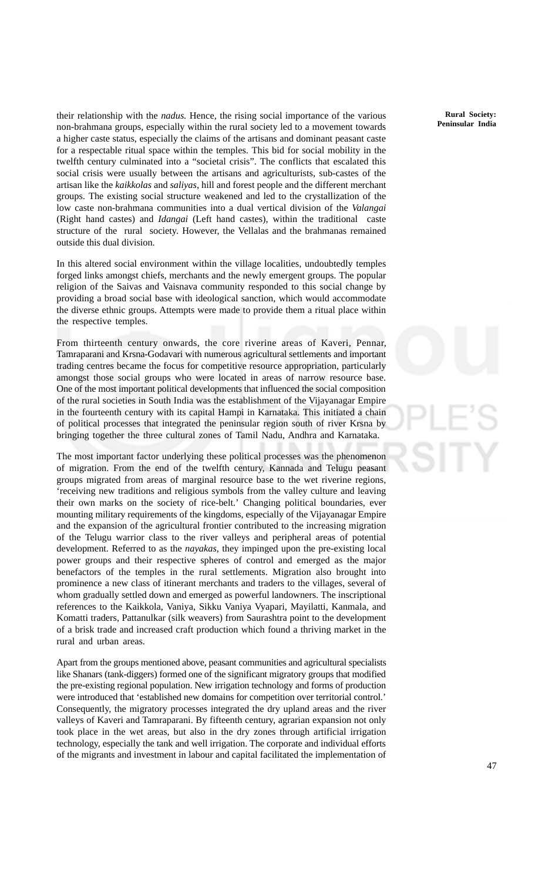their relationship with the *nadus.* Hence*,* the rising social importance of the various non-brahmana groups, especially within the rural society led to a movement towards a higher caste status, especially the claims of the artisans and dominant peasant caste for a respectable ritual space within the temples. This bid for social mobility in the twelfth century culminated into a "societal crisis". The conflicts that escalated this social crisis were usually between the artisans and agriculturists, sub-castes of the artisan like the *kaikkolas* and *saliyas*, hill and forest people and the different merchant groups. The existing social structure weakened and led to the crystallization of the low caste non-brahmana communities into a dual vertical division of the *Valangai* (Right hand castes) and *Idangai* (Left hand castes), within the traditional caste structure of the rural society. However, the Vellalas and the brahmanas remained outside this dual division.

In this altered social environment within the village localities, undoubtedly temples forged links amongst chiefs, merchants and the newly emergent groups. The popular religion of the Saivas and Vaisnava community responded to this social change by providing a broad social base with ideological sanction, which would accommodate the diverse ethnic groups. Attempts were made to provide them a ritual place within the respective temples.

From thirteenth century onwards, the core riverine areas of Kaveri, Pennar, Tamraparani and Krsna-Godavari with numerous agricultural settlements and important trading centres became the focus for competitive resource appropriation, particularly amongst those social groups who were located in areas of narrow resource base. One of the most important political developments that influenced the social composition of the rural societies in South India was the establishment of the Vijayanagar Empire in the fourteenth century with its capital Hampi in Karnataka. This initiated a chain of political processes that integrated the peninsular region south of river Krsna by bringing together the three cultural zones of Tamil Nadu, Andhra and Karnataka.

The most important factor underlying these political processes was the phenomenon of migration. From the end of the twelfth century, Kannada and Telugu peasant groups migrated from areas of marginal resource base to the wet riverine regions, 'receiving new traditions and religious symbols from the valley culture and leaving their own marks on the society of rice-belt.' Changing political boundaries, ever mounting military requirements of the kingdoms, especially of the Vijayanagar Empire and the expansion of the agricultural frontier contributed to the increasing migration of the Telugu warrior class to the river valleys and peripheral areas of potential development. Referred to as the *nayakas,* they impinged upon the pre-existing local power groups and their respective spheres of control and emerged as the major benefactors of the temples in the rural settlements. Migration also brought into prominence a new class of itinerant merchants and traders to the villages, several of whom gradually settled down and emerged as powerful landowners. The inscriptional references to the Kaikkola, Vaniya, Sikku Vaniya Vyapari, Mayilatti, Kanmala, and Komatti traders, Pattanulkar (silk weavers) from Saurashtra point to the development of a brisk trade and increased craft production which found a thriving market in the rural and urban areas.

Apart from the groups mentioned above, peasant communities and agricultural specialists like Shanars (tank-diggers) formed one of the significant migratory groups that modified the pre-existing regional population. New irrigation technology and forms of production were introduced that 'established new domains for competition over territorial control.' Consequently, the migratory processes integrated the dry upland areas and the river valleys of Kaveri and Tamraparani. By fifteenth century, agrarian expansion not only took place in the wet areas, but also in the dry zones through artificial irrigation technology, especially the tank and well irrigation. The corporate and individual efforts of the migrants and investment in labour and capital facilitated the implementation of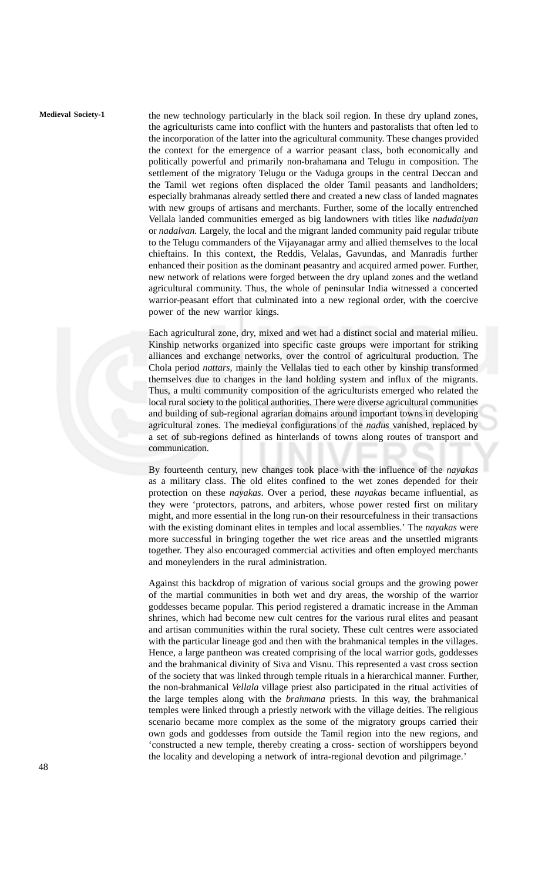**Medieval Society-1** the new technology particularly in the black soil region. In these dry upland zones, the agriculturists came into conflict with the hunters and pastoralists that often led to the incorporation of the latter into the agricultural community. These changes provided the context for the emergence of a warrior peasant class, both economically and politically powerful and primarily non-brahamana and Telugu in composition. The settlement of the migratory Telugu or the Vaduga groups in the central Deccan and the Tamil wet regions often displaced the older Tamil peasants and landholders; especially brahmanas already settled there and created a new class of landed magnates with new groups of artisans and merchants. Further, some of the locally entrenched Vellala landed communities emerged as big landowners with titles like *nadudaiyan* or *nadalvan.* Largely, the local and the migrant landed community paid regular tribute to the Telugu commanders of the Vijayanagar army and allied themselves to the local chieftains. In this context, the Reddis, Velalas, Gavundas, and Manradis further enhanced their position as the dominant peasantry and acquired armed power. Further, new network of relations were forged between the dry upland zones and the wetland agricultural community. Thus, the whole of peninsular India witnessed a concerted warrior-peasant effort that culminated into a new regional order, with the coercive power of the new warrior kings.

> Each agricultural zone, dry, mixed and wet had a distinct social and material milieu. Kinship networks organized into specific caste groups were important for striking alliances and exchange networks, over the control of agricultural production. The Chola period *nattars,* mainly the Vellalas tied to each other by kinship transformed themselves due to changes in the land holding system and influx of the migrants. Thus, a multi community composition of the agriculturists emerged who related the local rural society to the political authorities. There were diverse agricultural communities and building of sub-regional agrarian domains around important towns in developing agricultural zones. The medieval configurations of the *nadus* vanished, replaced by a set of sub-regions defined as hinterlands of towns along routes of transport and communication.

> By fourteenth century, new changes took place with the influence of the *nayakas* as a military class. The old elites confined to the wet zones depended for their protection on these *nayakas*. Over a period, these *nayakas* became influential, as they were 'protectors, patrons, and arbiters, whose power rested first on military might, and more essential in the long run-on their resourcefulness in their transactions with the existing dominant elites in temples and local assemblies.' The *nayakas* were more successful in bringing together the wet rice areas and the unsettled migrants together. They also encouraged commercial activities and often employed merchants and moneylenders in the rural administration.

> Against this backdrop of migration of various social groups and the growing power of the martial communities in both wet and dry areas, the worship of the warrior goddesses became popular. This period registered a dramatic increase in the Amman shrines, which had become new cult centres for the various rural elites and peasant and artisan communities within the rural society. These cult centres were associated with the particular lineage god and then with the brahmanical temples in the villages. Hence, a large pantheon was created comprising of the local warrior gods, goddesses and the brahmanical divinity of Siva and Visnu. This represented a vast cross section of the society that was linked through temple rituals in a hierarchical manner. Further, the non-brahmanical *Vellala* village priest also participated in the ritual activities of the large temples along with the *brahmana* priests. In this way, the brahmanical temples were linked through a priestly network with the village deities. The religious scenario became more complex as the some of the migratory groups carried their own gods and goddesses from outside the Tamil region into the new regions, and 'constructed a new temple, thereby creating a cross- section of worshippers beyond the locality and developing a network of intra-regional devotion and pilgrimage.'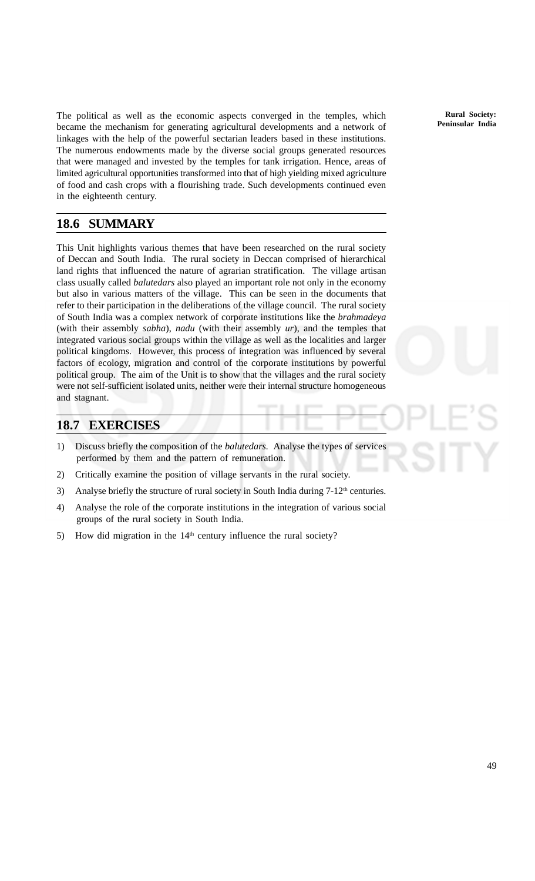The political as well as the economic aspects converged in the temples, which became the mechanism for generating agricultural developments and a network of linkages with the help of the powerful sectarian leaders based in these institutions. The numerous endowments made by the diverse social groups generated resources that were managed and invested by the temples for tank irrigation. Hence, areas of limited agricultural opportunities transformed into that of high yielding mixed agriculture of food and cash crops with a flourishing trade. Such developments continued even in the eighteenth century.

## **18.6 SUMMARY**

This Unit highlights various themes that have been researched on the rural society of Deccan and South India. The rural society in Deccan comprised of hierarchical land rights that influenced the nature of agrarian stratification. The village artisan class usually called *balutedars* also played an important role not only in the economy but also in various matters of the village. This can be seen in the documents that refer to their participation in the deliberations of the village council. The rural society of South India was a complex network of corporate institutions like the *brahmadeya* (with their assembly *sabha*), *nadu* (with their assembly *ur*), and the temples that integrated various social groups within the village as well as the localities and larger political kingdoms. However, this process of integration was influenced by several factors of ecology, migration and control of the corporate institutions by powerful political group. The aim of the Unit is to show that the villages and the rural society were not self-sufficient isolated units, neither were their internal structure homogeneous and stagnant.

### **18.7 EXERCISES**

- 1) Discuss briefly the composition of the *balutedars.* Analyse the types of services performed by them and the pattern of remuneration.
- 2) Critically examine the position of village servants in the rural society.
- 3) Analyse briefly the structure of rural society in South India during  $7-12<sup>th</sup>$  centuries.
- 4) Analyse the role of the corporate institutions in the integration of various social groups of the rural society in South India.
- 5) How did migration in the  $14<sup>th</sup>$  century influence the rural society?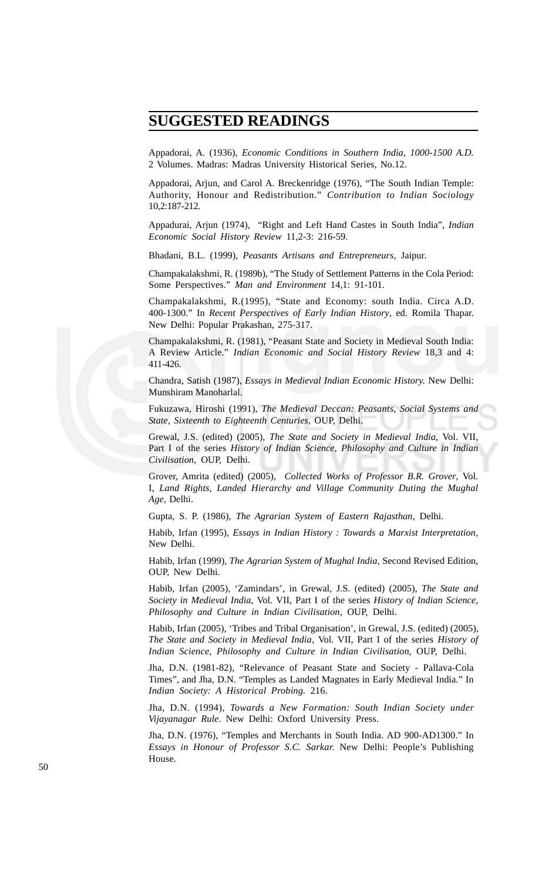## $SUGGESTED READINGS$

Appadorai, A. (1936), *Economic Conditions in Southern India, 1000-1500 A.D.* 2 Volumes. Madras: Madras University Historical Series, No.12.

Appadorai, Arjun, and Carol A. Breckenridge (1976), "The South Indian Temple: Authority, Honour and Redistribution." *Contribution to Indian Sociology* 10,2:187-212.

Appadurai, Arjun (1974), "Right and Left Hand Castes in South India", *Indian Economic Social History Review* 11,2-3: 216-59.

Bhadani, B.L. (1999), *Peasants Artisans and Entrepreneurs*, Jaipur.

Champakalakshmi, R. (1989b), "The Study of Settlement Patterns in the Cola Period: Some Perspectives." *Man and Environment* 14,1: 91-101.

Champakalakshmi, R.(1995), "State and Economy: south India. Circa A.D. 400-1300." In *Recent Perspectives of Early Indian History*, ed. Romila Thapar. New Delhi: Popular Prakashan, 275-317.

Champakalakshmi, R. (1981), "Peasant State and Society in Medieval South India: A Review Article." *Indian Economic and Social History Review* 18,3 and 4: 411-426.

Chandra, Satish (1987), *Essays in Medieval Indian Economic History.* New Delhi: Munshiram Manoharlal.

Fukuzawa, Hiroshi (1991), *The Medieval Deccan: Peasants, Social Systems and State, Sixteenth to Eighteenth Centuries*, OUP, Delhi.

Grewal, J.S. (edited) (2005), *The State and Society in Medieval India*, Vol. VII, Part I of the series *History of Indian Science, Philosophy and Culture in Indian Civilisation*, OUP, Delhi.

Grover, Amrita (edited) (2005), *Collected Works of Professor B.R. Grover*, Vol. I, *Land Rights, Landed Hierarchy and Village Community Duting the Mughal Age*, Delhi.

Gupta, S. P. (1986), *The Agrarian System of Eastern Rajasthan*, Delhi.

Habib, Irfan (1995), *Essays in Indian History : Towards a Marxist Interpretation*, New Delhi.

Habib, Irfan (1999), *The Agrarian System of Mughal India*, Second Revised Edition, OUP, New Delhi.

Habib, Irfan (2005), 'Zamindars', in Grewal, J.S. (edited) (2005), *The State and Society in Medieval India*, Vol. VII, Part I of the series *History of Indian Science, Philosophy and Culture in Indian Civilisation*, OUP, Delhi.

Habib, Irfan (2005), 'Tribes and Tribal Organisation', in Grewal, J.S. (edited) (2005), *The State and Society in Medieval India*, Vol. VII, Part I of the series *History of Indian Science, Philosophy and Culture in Indian Civilisation*, OUP, Delhi.

Jha, D.N. (1981-82), "Relevance of Peasant State and Society - Pallava-Cola Times", and Jha, D.N. "Temples as Landed Magnates in Early Medieval India." In *Indian Society: A Historical Probing.* 216.

Jha, D.N. (1994), *Towards a New Formation: South Indian Society under Vijayanagar Rule*. New Delhi: Oxford University Press.

Jha, D.N. (1976), "Temples and Merchants in South India. AD 900-AD1300." In *Essays in Honour of Professor S.C. Sarkar.* New Delhi: People's Publishing House.